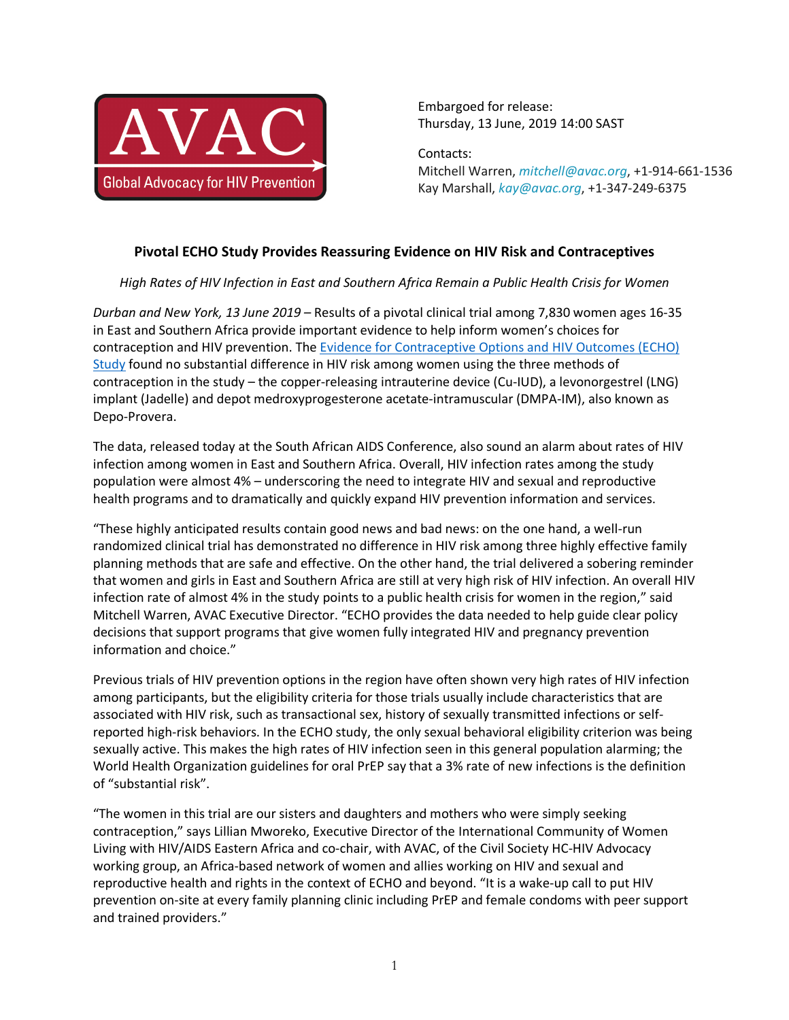

Embargoed for release: Thursday, 13 June, 2019 14:00 SAST

Contacts: Mitchell Warren, *mitchell@avac.org*, +1-914-661-1536 Kay Marshall, *kay@avac.org*, +1-347-249-6375

## **Pivotal ECHO Study Provides Reassuring Evidence on HIV Risk and Contraceptives**

*High Rates of HIV Infection in East and Southern Africa Remain a Public Health Crisis for Women*

*Durban and New York, 13 June 2019 –* Results of a pivotal clinical trial among 7,830 women ages 16-35 in East and Southern Africa provide important evidence to help inform women's choices for contraception and HIV prevention. The Evidence for Contraceptive Options and HIV Outcomes (ECHO) Study found no substantial difference in HIV risk among women using the three methods of contraception in the study – the copper-releasing intrauterine device (Cu-IUD), a levonorgestrel (LNG) implant (Jadelle) and depot medroxyprogesterone acetate-intramuscular (DMPA-IM), also known as Depo-Provera.

The data, released today at the South African AIDS Conference, also sound an alarm about rates of HIV infection among women in East and Southern Africa. Overall, HIV infection rates among the study population were almost 4% *–* underscoring the need to integrate HIV and sexual and reproductive health programs and to dramatically and quickly expand HIV prevention information and services.

"These highly anticipated results contain good news and bad news: on the one hand, a well-run randomized clinical trial has demonstrated no difference in HIV risk among three highly effective family planning methods that are safe and effective. On the other hand, the trial delivered a sobering reminder that women and girls in East and Southern Africa are still at very high risk of HIV infection. An overall HIV infection rate of almost 4% in the study points to a public health crisis for women in the region," said Mitchell Warren, AVAC Executive Director. "ECHO provides the data needed to help guide clear policy decisions that support programs that give women fully integrated HIV and pregnancy prevention information and choice."

Previous trials of HIV prevention options in the region have often shown very high rates of HIV infection among participants, but the eligibility criteria for those trials usually include characteristics that are associated with HIV risk, such as transactional sex, history of sexually transmitted infections or selfreported high-risk behaviors. In the ECHO study, the only sexual behavioral eligibility criterion was being sexually active. This makes the high rates of HIV infection seen in this general population alarming; the World Health Organization guidelines for oral PrEP say that a 3% rate of new infections is the definition of "substantial risk".

"The women in this trial are our sisters and daughters and mothers who were simply seeking contraception," says Lillian Mworeko, Executive Director of the International Community of Women Living with HIV/AIDS Eastern Africa and co-chair, with AVAC, of the Civil Society HC-HIV Advocacy working group, an Africa-based network of women and allies working on HIV and sexual and reproductive health and rights in the context of ECHO and beyond. "It is a wake-up call to put HIV prevention on-site at every family planning clinic including PrEP and female condoms with peer support and trained providers."